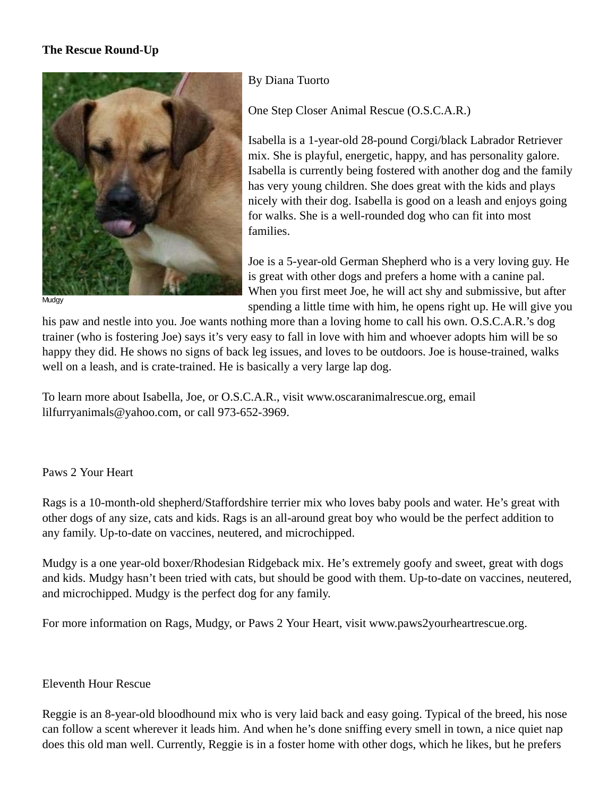## **The Rescue Round-Up**



**Mudgy** 

By Diana Tuorto

One Step Closer Animal Rescue (O.S.C.A.R.)

Isabella is a 1-year-old 28-pound Corgi/black Labrador Retriever mix. She is playful, energetic, happy, and has personality galore. Isabella is currently being fostered with another dog and the family has very young children. She does great with the kids and plays nicely with their dog. Isabella is good on a leash and enjoys going for walks. She is a well-rounded dog who can fit into most families.

Joe is a 5-year-old German Shepherd who is a very loving guy. He is great with other dogs and prefers a home with a canine pal. When you first meet Joe, he will act shy and submissive, but after spending a little time with him, he opens right up. He will give you

his paw and nestle into you. Joe wants nothing more than a loving home to call his own. O.S.C.A.R.'s dog trainer (who is fostering Joe) says it's very easy to fall in love with him and whoever adopts him will be so happy they did. He shows no signs of back leg issues, and loves to be outdoors. Joe is house-trained, walks well on a leash, and is crate-trained. He is basically a very large lap dog.

To learn more about Isabella, Joe, or O.S.C.A.R., visit www.oscaranimalrescue.org, email lilfurryanimals@yahoo.com, or call 973-652-3969.

## Paws 2 Your Heart

Rags is a 10-month-old shepherd/Staffordshire terrier mix who loves baby pools and water. He's great with other dogs of any size, cats and kids. Rags is an all-around great boy who would be the perfect addition to any family. Up-to-date on vaccines, neutered, and microchipped.

Mudgy is a one year-old boxer/Rhodesian Ridgeback mix. He's extremely goofy and sweet, great with dogs and kids. Mudgy hasn't been tried with cats, but should be good with them. Up-to-date on vaccines, neutered, and microchipped. Mudgy is the perfect dog for any family.

For more information on Rags, Mudgy, or Paws 2 Your Heart, visit www.paws2yourheartrescue.org.

## Eleventh Hour Rescue

Reggie is an 8-year-old bloodhound mix who is very laid back and easy going. Typical of the breed, his nose can follow a scent wherever it leads him. And when he's done sniffing every smell in town, a nice quiet nap does this old man well. Currently, Reggie is in a foster home with other dogs, which he likes, but he prefers